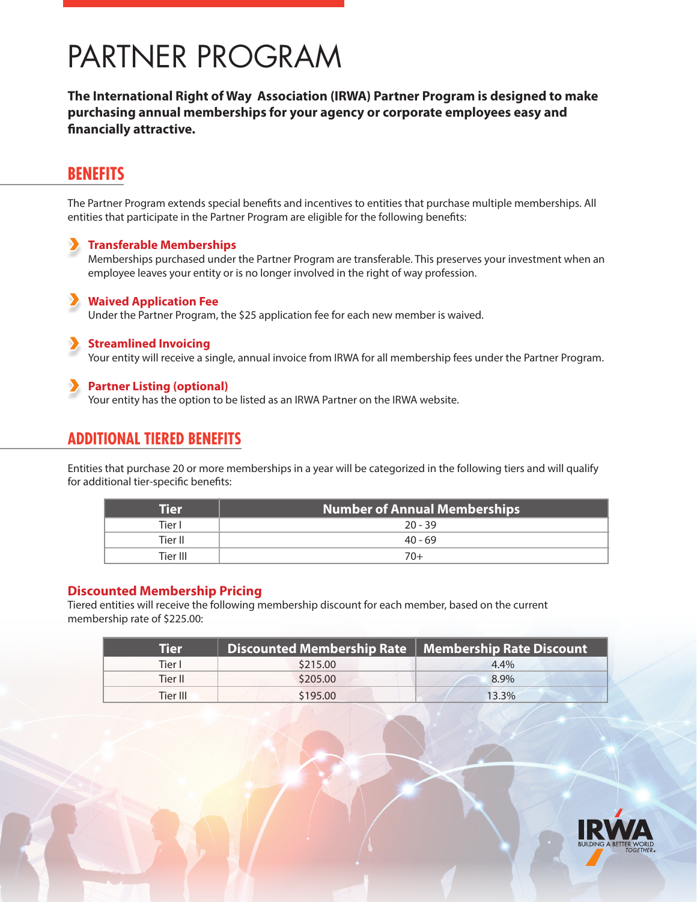# PARTNER PROGRAM

**The International Right of Way Association (IRWA) Partner Program is designed to make purchasing annual memberships for your agency or corporate employees easy and financially attractive.**

# **BENEFITS**

The Partner Program extends special benefits and incentives to entities that purchase multiple memberships. All entities that participate in the Partner Program are eligible for the following benefits:

#### **Transferable Memberships**

Memberships purchased under the Partner Program are transferable. This preserves your investment when an employee leaves your entity or is no longer involved in the right of way profession.

### **Waived Application Fee**

Under the Partner Program, the \$25 application fee for each new member is waived.

#### **Streamlined Invoicing**

Your entity will receive a single, annual invoice from IRWA for all membership fees under the Partner Program.

#### **Partner Listing (optional)**

Your entity has the option to be listed as an IRWA Partner on the IRWA website.

# **ADDITIONAL TIERED BENEFITS**

Entities that purchase 20 or more memberships in a year will be categorized in the following tiers and will qualify for additional tier-specific benefits:

| Tier     | <b>Number of Annual Memberships</b> |
|----------|-------------------------------------|
| Tier I   | $20 - 39$                           |
| Tier II  | $40 - 69$                           |
| Tier III | 70+                                 |

#### **Discounted Membership Pricing**

Tiered entities will receive the following membership discount for each member, based on the current membership rate of \$225.00:

| <b>Tier</b> | Discounted Membership Rate   Membership Rate Discount |         |
|-------------|-------------------------------------------------------|---------|
| Tier l      | \$215.00                                              | $4.4\%$ |
| Tier II     | \$205.00                                              | 8.9%    |
| Tier III    | \$195.00                                              | 13.3%   |